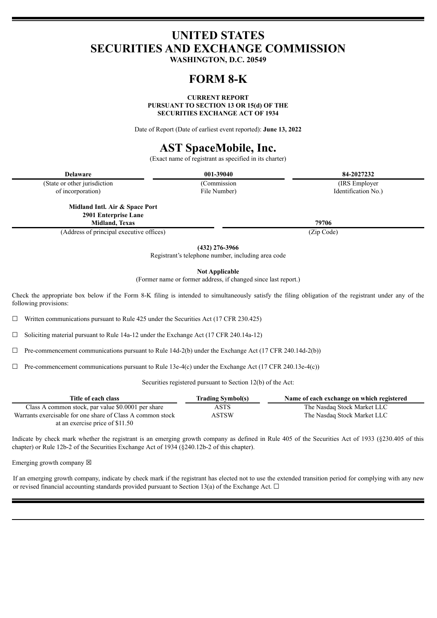# **UNITED STATES SECURITIES AND EXCHANGE COMMISSION**

**WASHINGTON, D.C. 20549**

# **FORM 8-K**

**CURRENT REPORT**

**PURSUANT TO SECTION 13 OR 15(d) OF THE**

**SECURITIES EXCHANGE ACT OF 1934**

Date of Report (Date of earliest event reported): **June 13, 2022**

# **AST SpaceMobile, Inc.**

(Exact name of registrant as specified in its charter)

| <b>Delaware</b>              | 001-39040    | 84-2027232          |
|------------------------------|--------------|---------------------|
| (State or other jurisdiction | (Commission) | (IRS Employer)      |
| of incorporation)            | File Number) | Identification No.) |

**Midland Intl. Air & Space Port 2901 Enterprise Lane Midland, Texas 79706**

(Address of principal executive offices) (Zip Code)

**(432) 276-3966**

Registrant's telephone number, including area code

**Not Applicable**

(Former name or former address, if changed since last report.)

Check the appropriate box below if the Form 8-K filing is intended to simultaneously satisfy the filing obligation of the registrant under any of the following provisions:

 $\Box$  Written communications pursuant to Rule 425 under the Securities Act (17 CFR 230.425)

☐ Soliciting material pursuant to Rule 14a-12 under the Exchange Act (17 CFR 240.14a-12)

 $\Box$  Pre-commencement communications pursuant to Rule 14d-2(b) under the Exchange Act (17 CFR 240.14d-2(b))

 $\Box$  Pre-commencement communications pursuant to Rule 13e-4(c) under the Exchange Act (17 CFR 240.13e-4(c))

Securities registered pursuant to Section 12(b) of the Act:

| Title of each class                                        | <b>Trading Symbol(s)</b> | Name of each exchange on which registered |
|------------------------------------------------------------|--------------------------|-------------------------------------------|
| Class A common stock, par value \$0.0001 per share         | ASTS                     | The Nasdaq Stock Market LLC               |
| Warrants exercisable for one share of Class A common stock | ASTSW                    | The Nasdaq Stock Market LLC               |
| at an exercise price of \$11.50                            |                          |                                           |

Indicate by check mark whether the registrant is an emerging growth company as defined in Rule 405 of the Securities Act of 1933 (§230.405 of this chapter) or Rule 12b-2 of the Securities Exchange Act of 1934 (§240.12b-2 of this chapter).

Emerging growth company  $\boxtimes$ 

If an emerging growth company, indicate by check mark if the registrant has elected not to use the extended transition period for complying with any new or revised financial accounting standards provided pursuant to Section 13(a) of the Exchange Act.  $\Box$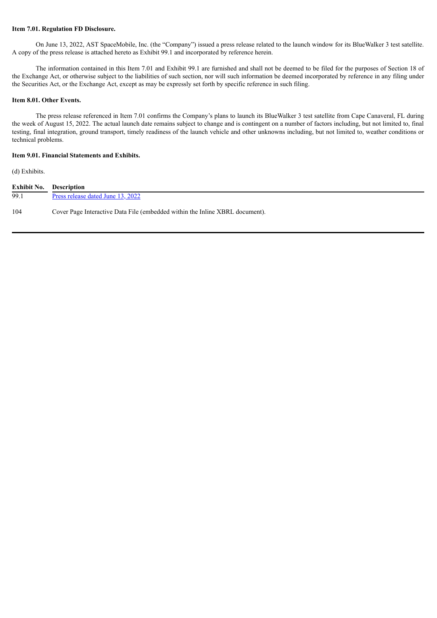#### **Item 7.01. Regulation FD Disclosure.**

On June 13, 2022, AST SpaceMobile, Inc. (the "Company") issued a press release related to the launch window for its BlueWalker 3 test satellite. A copy of the press release is attached hereto as Exhibit 99.1 and incorporated by reference herein.

The information contained in this Item 7.01 and Exhibit 99.1 are furnished and shall not be deemed to be filed for the purposes of Section 18 of the Exchange Act, or otherwise subject to the liabilities of such section, nor will such information be deemed incorporated by reference in any filing under the Securities Act, or the Exchange Act, except as may be expressly set forth by specific reference in such filing.

#### **Item 8.01. Other Events.**

The press release referenced in Item 7.01 confirms the Company's plans to launch its BlueWalker 3 test satellite from Cape Canaveral, FL during the week of August 15, 2022. The actual launch date remains subject to change and is contingent on a number of factors including, but not limited to, final testing, final integration, ground transport, timely readiness of the launch vehicle and other unknowns including, but not limited to, weather conditions or technical problems.

#### **Item 9.01. Financial Statements and Exhibits.**

(d) Exhibits.

| <b>Exhibit No. Description</b> |                                                                              |
|--------------------------------|------------------------------------------------------------------------------|
| 99.1                           | Press release dated June 13, 2022                                            |
| 104                            | Cover Page Interactive Data File (embedded within the Inline XBRL document). |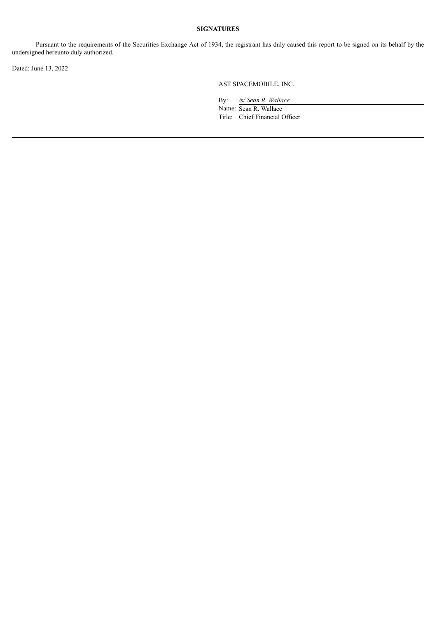## **SIGNATURES**

Pursuant to the requirements of the Securities Exchange Act of 1934, the registrant has duly caused this report to be signed on its behalf by the undersigned hereunto duly authorized.

Dated: June 13, 2022

AST SPACEMOBILE, INC.

By: */s/ Sean R. Wallace*

Name: Sean R. Wallace Title: Chief Financial Officer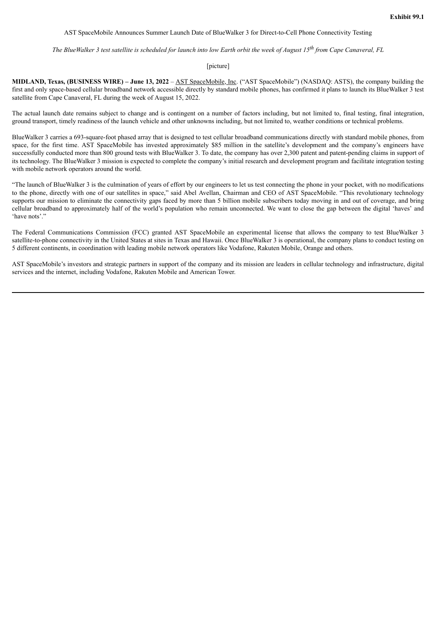#### <span id="page-3-0"></span>AST SpaceMobile Announces Summer Launch Date of BlueWalker 3 for Direct-to-Cell Phone Connectivity Testing

The BlueWalker 3 test satellite is scheduled for launch into low Earth orbit the week of August 15<sup>th</sup> from Cape Canaveral, FL

#### [picture]

**MIDLAND, Texas, (BUSINESS WIRE) – June 13, 2022** – AST SpaceMobile, Inc. ("AST SpaceMobile") (NASDAQ: ASTS), the company building the first and only space-based cellular broadband network accessible directly by standard mobile phones, has confirmed it plans to launch its BlueWalker 3 test satellite from Cape Canaveral, FL during the week of August 15, 2022.

The actual launch date remains subject to change and is contingent on a number of factors including, but not limited to, final testing, final integration, ground transport, timely readiness of the launch vehicle and other unknowns including, but not limited to, weather conditions or technical problems.

BlueWalker 3 carries a 693-square-foot phased array that is designed to test cellular broadband communications directly with standard mobile phones, from space, for the first time. AST SpaceMobile has invested approximately \$85 million in the satellite's development and the company's engineers have successfully conducted more than 800 ground tests with BlueWalker 3. To date, the company has over 2,300 patent and patent-pending claims in support of its technology. The BlueWalker 3 mission is expected to complete the company's initial research and development program and facilitate integration testing with mobile network operators around the world.

"The launch of BlueWalker 3 is the culmination of years of effort by our engineers to let us test connecting the phone in your pocket, with no modifications to the phone, directly with one of our satellites in space," said Abel Avellan, Chairman and CEO of AST SpaceMobile. "This revolutionary technology supports our mission to eliminate the connectivity gaps faced by more than 5 billion mobile subscribers today moving in and out of coverage, and bring cellular broadband to approximately half of the world's population who remain unconnected. We want to close the gap between the digital 'haves' and 'have nots'."

The Federal Communications Commission (FCC) granted AST SpaceMobile an experimental license that allows the company to test BlueWalker 3 satellite-to-phone connectivity in the United States at sites in Texas and Hawaii. Once BlueWalker 3 is operational, the company plans to conduct testing on 5 different continents, in coordination with leading mobile network operators like Vodafone, Rakuten Mobile, Orange and others.

AST SpaceMobile's investors and strategic partners in support of the company and its mission are leaders in cellular technology and infrastructure, digital services and the internet, including Vodafone, Rakuten Mobile and American Tower.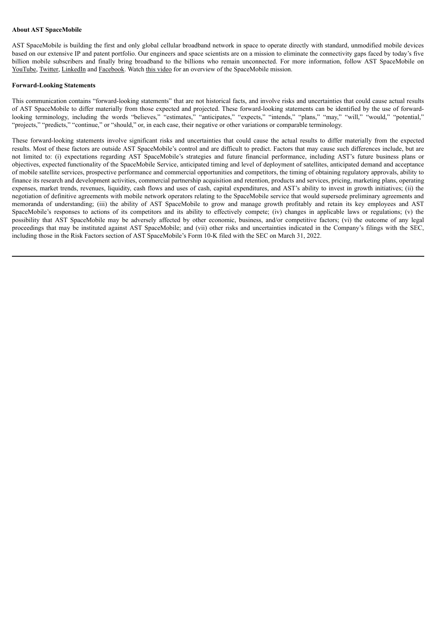### **About AST SpaceMobile**

AST SpaceMobile is building the first and only global cellular broadband network in space to operate directly with standard, unmodified mobile devices based on our extensive IP and patent portfolio. Our engineers and space scientists are on a mission to eliminate the connectivity gaps faced by today's five billion mobile subscribers and finally bring broadband to the billions who remain unconnected. For more information, follow AST SpaceMobile on YouTube, Twitter, LinkedIn and Facebook. Watch this video for an overview of the SpaceMobile mission.

#### **Forward-Looking Statements**

This communication contains "forward-looking statements" that are not historical facts, and involve risks and uncertainties that could cause actual results of AST SpaceMobile to differ materially from those expected and projected. These forward-looking statements can be identified by the use of forwardlooking terminology, including the words "believes," "estimates," "anticipates," "expects," "intends," "plans," "may," "will," "would," "potential," "projects," "predicts," "continue," or "should," or, in each case, their negative or other variations or comparable terminology.

These forward-looking statements involve significant risks and uncertainties that could cause the actual results to differ materially from the expected results. Most of these factors are outside AST SpaceMobile's control and are difficult to predict. Factors that may cause such differences include, but are not limited to: (i) expectations regarding AST SpaceMobile's strategies and future financial performance, including AST's future business plans or objectives, expected functionality of the SpaceMobile Service, anticipated timing and level of deployment of satellites, anticipated demand and acceptance of mobile satellite services, prospective performance and commercial opportunities and competitors, the timing of obtaining regulatory approvals, ability to finance its research and development activities, commercial partnership acquisition and retention, products and services, pricing, marketing plans, operating expenses, market trends, revenues, liquidity, cash flows and uses of cash, capital expenditures, and AST's ability to invest in growth initiatives; (ii) the negotiation of definitive agreements with mobile network operators relating to the SpaceMobile service that would supersede preliminary agreements and memoranda of understanding; (iii) the ability of AST SpaceMobile to grow and manage growth profitably and retain its key employees and AST SpaceMobile's responses to actions of its competitors and its ability to effectively compete; (iv) changes in applicable laws or regulations; (v) the possibility that AST SpaceMobile may be adversely affected by other economic, business, and/or competitive factors; (vi) the outcome of any legal proceedings that may be instituted against AST SpaceMobile; and (vii) other risks and uncertainties indicated in the Company's filings with the SEC, including those in the Risk Factors section of AST SpaceMobile's Form 10-K filed with the SEC on March 31, 2022.